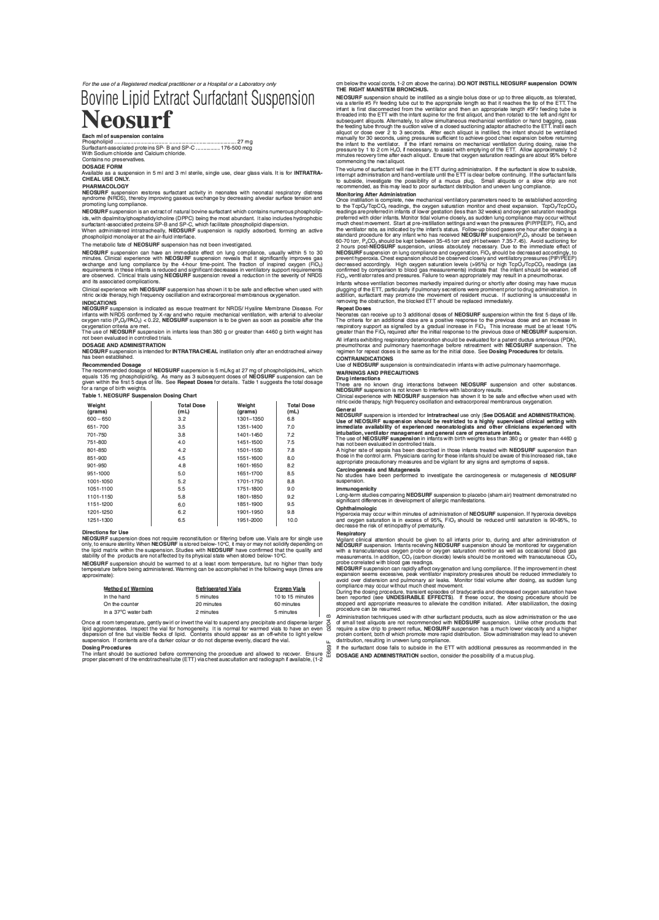*For the use of a Registered medical practitioner or a Hospital or a Laboratory only* 

# Bovine Lipid Extract Surfactant Suspension **Neosurf**

Each ml of suspension contains Phospholipid .................................... ............................................. 27 mg Surfactant-associated proteins SP- Band SP-C ................ 176-500 mcg With Sodium chloride and Calcium chloride. Contains no preservatives.

**DOSAGE FORM**  Available as a suspension in 5 ml and 3 ml sterile, single use, clear glass vials. It is for **INTRATRA-CHEAL USE ONLY.** 

**PHARMACOLOGY** 

NEOSURF suspension restores surfactan1 activity in neonates with neonatal respiratory distress syndrome (NRDS), thereby improving gaseous exchange by decreasing alveolar surface tension and promoting lung compliance.

**NECOURT SUSPIER IN STATE AND TRANSPORT IN A CONSTRAINER AND SUSPIER AND SUSPIER IN A CONSTRAINING IN SUSPIER IN A SUSPIER IN A SUSPIER IN SUSPIER IN A SUSPIER SUSPIER IN A SUSPIER OF SUSPIER SUSPIER OF SUSPIER OF SUSPIER** 

The metabolic fate of **NEOSURF** suspension has not been Investigated.

**NECOSITY** subplements in the air infinite direct on individual experience with NEOSURF suspension reveals that it significantly improves gas exchange and lung compliance by the 4-hour time-point. The fraction of inspired

Clinical experience with NEOSURF suspension has shown it to be safe and effective when used with nitric oxide therapy, high frequency oscillation and extracorporeal membranous oxygenation.

**INDICATIONS NECOURF SUSPIERIOR IS influcted as rescue treatment for NELOS Applies members of the SUSPIER SUSPIER CONSUMING SUSPIER CONSUMING A SUSPIER OF A SUSPIER OF A SUSPIER OF A SUSPIER OF A SUSPIER OF A SUSPIER OF A SUSPIER OF** 

oxygenation criteria are met. The use of NEOSURF suspension in infan1s less than 380 g or greater than 4460 g birth weight has not been evaluated in controlled trials.

**DOSAGE AND ADMINISTRATION**  NEOSURF suspension is intended for INTRATRACHEAL instillation only after an endotracheal airway

has been established.

Hecommended dosage of NEOSURF suspension is 5 mL/kg at 27 mg of phospholipids/mL, which<br>equals 135 mg phospholipid/kg. As many as 3 subsequent doses of NEOSURF suspension can be<br>given within the first 5 days of life. See R

| Weight<br>(grams) | <b>Total Dose</b><br>(mL) | Weight<br>(grams) | <b>Total Dose</b><br>(mL) |
|-------------------|---------------------------|-------------------|---------------------------|
| $600 - 650$       | 3.2                       | 1301-1350         | 6.8                       |
| 651-700           | 3.5                       | 1351-1400         | 7.0                       |
| 701-750           | 3.8                       | 1401-1450         | 7.2                       |
| 751-800           | 4.0                       | 1451-1500         | 7.5                       |
| 801-850           | 4.2                       | 1501-1550         | 7.8                       |
| 851-900           | 4.5                       | 1551-1600         | 8.0                       |
| 901-950           | 4.8                       | 1601-1650         | 8.2                       |
| 951-1000          | 5.0                       | 1651-1700         | 8.5                       |
| 1001-1050         | 5.2                       | 1701-1750         | 8.8                       |
| 1051-1100         | 5.5                       | 1751-1800         | 9.0                       |
| 1101-1150         | 5.8                       | 1801-1850         | 9.2                       |
| 1151-1200         | 6.0                       | 1851-1900         | 9.5                       |
| 1201-1250         | 6.2                       | 1901-1950         | 9.8                       |
| 1251-1300         | 6.5                       | 1951-2000         | 10.0                      |
|                   |                           |                   |                           |

## **Directions for Use**

NECOURT suspension does not require reconstruction or intering performance only to ensure steritty. When NEOSURF is stored below-10°C, it may or may not solidify depending on<br>the lipid matrix within the suspension. Studies

NEOSURF suspension should be warmed to at a least room temperature, but no higher than body temperature before being administered. Warming can be accomplished in the following ways (times are approximate):

| <b>Method of Warming</b> | <b>Refrigerated Vials</b> | <b>Frozen Vials</b> |
|--------------------------|---------------------------|---------------------|
| In the hand              | 5 minutes                 | 10 to 15 minutes    |
| On the counter           | 20 minutes                | 60 minutes          |
| In a 37°C water bath     | 2 minutes                 | 5 minutes           |

Once at room temperature, gentry swirr of three the values and the precipitative and uspense and geomerates. Inspect the vial for homogeneity. It is normal for warmed vials to have an even dispersion of fine but visible fl

Dosing Procedures The infant should be suctioned before commencing the procedure and allowed to recover. Ensure proper placement of the endotracheal tube (ETT) via chest auscultation and radiograph if available, (1-2

cm below the vocal cords, 1-2 cm above the carina). **DO NOT INSTILL NEOSURF suspension DOWN**  THE **RIGHT MAINSTEM BRONCHUS.** 

**NEXT SOFTENDO TO THE SET OF THE SET OF THE SET OF THE SET OF THE SET OF THE SET OF THE SET OF THE SET OF THE SET OF THE SET OF THE SET OF THE SET OF THE SET OF THE SET OF THE SET OF THE SET OF THE SET OF THE SET OF THE SE** threaded into the ETT with the infant supine for the first aliquot, and then rotated to the left and right for<br>subsequent aliquots. Alternately, to allow simultaneous mechanical verification or hand bagging, pass<br>the feedi

The volume of suractiant will historical that the ETT is clear before continuing. If the suraction and hand-ventilate until the ETT is clear before continuing. If the surfactant fails<br>to subside, investigate the possibilit

**MODIMMON AND CONSECTS** Consequent Sometical ventilatory parameters need to be established according<br>once instillation is complete, new mechanical ventilatory parameters need to be established according<br>readings are prefer

 $m$  and its wrotever entimation becomes markedly impaired outing or shortly alter dosing may rate include plugging of the ETT, particularly if pulmonary secretions were prominent prior to drug administration. In addition,

Repeat Doses<br>Neonates can receive up to 3 additional doses of NEOSURF suspension within the first 5 days of life. Neonates can receive up to 3 additional doses of NEOSURF suspension within the first 5 days of life.<br>The criteria for an additional dose are a positive response to the previous dose and an increase in<br>respiratory support a greater than the FIO<sub>2</sub> required after the initial response to the previous dose of **NEOSURF** suspension. All miatins exhibitionly respirationly determination should be evaluated for a patent ductube attentional (FDA)<br>pheumothorax and pulmonary haemorrhage before retreatment with NEOSURF suspension. The<br>regimen for repeat dose

**CONTRAINDICATIONS**<br>
Use of **NEOSURF** suspe

on is contraindicated in infants with active pulmonary hae **WARNINGS AND PRECAUTIONS** 

Drug unteractions<br>There are no known drug interactions between NEOSURF suspension and other substances.<br>NEOSURF suspension is not known to interfere with laboratory results.<br>Clinical experience with NEOSURF suspension has

General<br>NEOSURF suspension is intended for intratracheal use only (See DOSAGE and ADMINISTRATION) NEOSURF suspension is intended for intratracheal use only (See DOSAGE and ADMINISTRATION).<br>Use of NEOSURF suspension should be restricted to a highly supervised clinical setting with<br>immediate availability of experienced n

Carcinogenesis and mutagenesis<br>No studies have been performed to investigate the carcinogenesis or mutagenesis of NEOSURF

suspension.<br>**Immunogenicity**<br>Long-term studies comparing **NEOSURF** suspension to placebo (sham air) treatment demonstrated no<br>significant differences in development of allergic manifestations.

**Ophthalmologic**  mylericular intervention is in excess of 95%, FiO<sub>2</sub> should be reduced until saturation is 90-95%, to decrease the risk of retinopathy of prematurity.<br>decrease the risk of retinopathy of prematurity.

Vignatic unitional attention. Infants receiving MEOSURF suspension should be monitored for oxygenation<br>MEOSURF suspension. Infants receiving MEOSURF suspension should be monitored for oxygenation<br>measurements. In addition,

A polynumial deal aliquots used with the suitable and political products, such as slow administration of the use<br>
So of small test aliquots are not recommended with NEOSURF suspension. Unlike other products that<br>
So requir

mented in the surfactant dose fails to subside in the ETT with additional pressures as recommended in the DOSAGE AND ADMINISTRATION section, consider the possibility of a mucus plug.